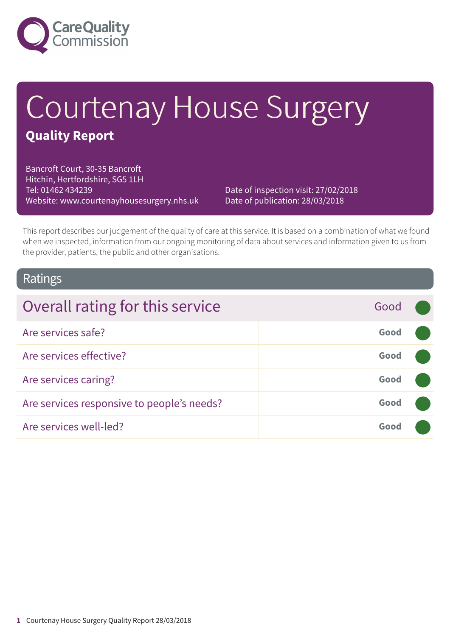

# Courtenay House Surgery

### **Quality Report**

Bancroft Court, 30-35 Bancroft Hitchin, Hertfordshire, SG5 1LH Tel: 01462 434239 Website: www.courtenayhousesurgery.nhs.uk

Date of inspection visit: 27/02/2018 Date of publication: 28/03/2018

This report describes our judgement of the quality of care at this service. It is based on a combination of what we found when we inspected, information from our ongoing monitoring of data about services and information given to us from the provider, patients, the public and other organisations.

### Ratings

| Overall rating for this service            | Good |  |
|--------------------------------------------|------|--|
| Are services safe?                         | Good |  |
| Are services effective?                    | Good |  |
| Are services caring?                       | Good |  |
| Are services responsive to people's needs? | Good |  |
| Are services well-led?                     | Good |  |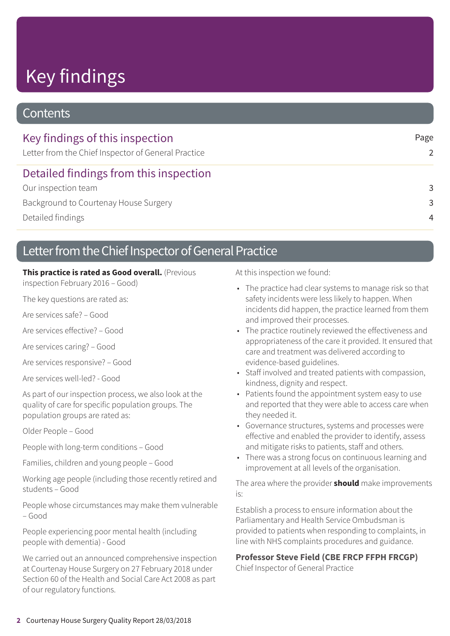# Key findings

### **Contents**

| Key findings of this inspection<br>Letter from the Chief Inspector of General Practice | Page<br>2      |
|----------------------------------------------------------------------------------------|----------------|
| Detailed findings from this inspection                                                 |                |
| Our inspection team                                                                    | 3              |
| Background to Courtenay House Surgery                                                  | -3             |
| Detailed findings                                                                      | $\overline{4}$ |
|                                                                                        |                |

### Letter from the Chief Inspector of General Practice

#### **This practice is rated as Good overall.** (Previous

inspection February 2016 – Good)

The key questions are rated as:

Are services safe? – Good

Are services effective? – Good

Are services caring? – Good

Are services responsive? – Good

Are services well-led? - Good

As part of our inspection process, we also look at the quality of care for specific population groups. The population groups are rated as:

Older People – Good

People with long-term conditions – Good

Families, children and young people – Good

Working age people (including those recently retired and students – Good

People whose circumstances may make them vulnerable – Good

People experiencing poor mental health (including people with dementia) - Good

We carried out an announced comprehensive inspection at Courtenay House Surgery on 27 February 2018 under Section 60 of the Health and Social Care Act 2008 as part of our regulatory functions.

At this inspection we found:

- The practice had clear systems to manage risk so that safety incidents were less likely to happen. When incidents did happen, the practice learned from them and improved their processes.
- The practice routinely reviewed the effectiveness and appropriateness of the care it provided. It ensured that care and treatment was delivered according to evidence-based guidelines.
- Staff involved and treated patients with compassion, kindness, dignity and respect.
- Patients found the appointment system easy to use and reported that they were able to access care when they needed it.
- Governance structures, systems and processes were effective and enabled the provider to identify, assess and mitigate risks to patients, staff and others.
- There was a strong focus on continuous learning and improvement at all levels of the organisation.

The area where the provider **should** make improvements is:

Establish a process to ensure information about the Parliamentary and Health Service Ombudsman is provided to patients when responding to complaints, in line with NHS complaints procedures and guidance.

#### **Professor Steve Field (CBE FRCP FFPH FRCGP)**

Chief Inspector of General Practice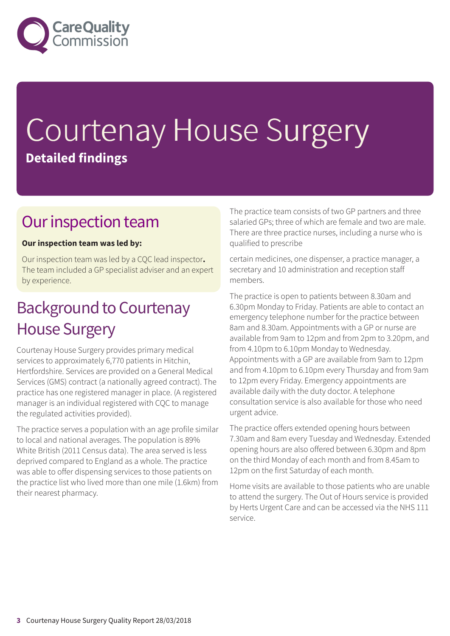

# Courtenay House Surgery **Detailed findings**

### Our inspection team

#### **Our inspection team was led by:**

Our inspection team was led by a CQC lead inspector**.** The team included a GP specialist adviser and an expert by experience.

### **Background to Courtenay** House Surgery

Courtenay House Surgery provides primary medical services to approximately 6,770 patients in Hitchin, Hertfordshire. Services are provided on a General Medical Services (GMS) contract (a nationally agreed contract). The practice has one registered manager in place. (A registered manager is an individual registered with CQC to manage the regulated activities provided).

The practice serves a population with an age profile similar to local and national averages. The population is 89% White British (2011 Census data). The area served is less deprived compared to England as a whole. The practice was able to offer dispensing services to those patients on the practice list who lived more than one mile (1.6km) from their nearest pharmacy.

The practice team consists of two GP partners and three salaried GPs; three of which are female and two are male. There are three practice nurses, including a nurse who is qualified to prescribe

certain medicines, one dispenser, a practice manager, a secretary and 10 administration and reception staff members.

The practice is open to patients between 8.30am and 6.30pm Monday to Friday. Patients are able to contact an emergency telephone number for the practice between 8am and 8.30am. Appointments with a GP or nurse are available from 9am to 12pm and from 2pm to 3.20pm, and from 4.10pm to 6.10pm Monday to Wednesday. Appointments with a GP are available from 9am to 12pm and from 4.10pm to 6.10pm every Thursday and from 9am to 12pm every Friday. Emergency appointments are available daily with the duty doctor. A telephone consultation service is also available for those who need urgent advice.

The practice offers extended opening hours between 7.30am and 8am every Tuesday and Wednesday. Extended opening hours are also offered between 6.30pm and 8pm on the third Monday of each month and from 8.45am to 12pm on the first Saturday of each month.

Home visits are available to those patients who are unable to attend the surgery. The Out of Hours service is provided by Herts Urgent Care and can be accessed via the NHS 111 service.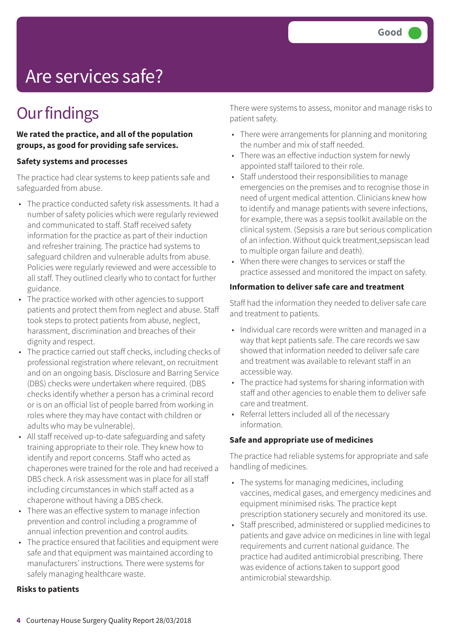# Are services safe?

### **Our findings**

**We rated the practice, and all of the population groups, as good for providing safe services.**

#### **Safety systems and processes**

The practice had clear systems to keep patients safe and safeguarded from abuse.

- The practice conducted safety risk assessments. It had a number of safety policies which were regularly reviewed and communicated to staff. Staff received safety information for the practice as part of their induction and refresher training. The practice had systems to safeguard children and vulnerable adults from abuse. Policies were regularly reviewed and were accessible to all staff. They outlined clearly who to contact for further guidance.
- The practice worked with other agencies to support patients and protect them from neglect and abuse. Staff took steps to protect patients from abuse, neglect, harassment, discrimination and breaches of their dignity and respect.
- The practice carried out staff checks, including checks of professional registration where relevant, on recruitment and on an ongoing basis. Disclosure and Barring Service (DBS) checks were undertaken where required. (DBS checks identify whether a person has a criminal record or is on an official list of people barred from working in roles where they may have contact with children or adults who may be vulnerable).
- All staff received up-to-date safeguarding and safety training appropriate to their role. They knew how to identify and report concerns. Staff who acted as chaperones were trained for the role and had received a DBS check. A risk assessment was in place for all staff including circumstances in which staff acted as a chaperone without having a DBS check.
- There was an effective system to manage infection prevention and control including a programme of annual infection prevention and control audits.
- The practice ensured that facilities and equipment were safe and that equipment was maintained according to manufacturers' instructions. There were systems for safely managing healthcare waste.

#### **Risks to patients**

There were systems to assess, monitor and manage risks to patient safety.

- There were arrangements for planning and monitoring the number and mix of staff needed.
- There was an effective induction system for newly appointed staff tailored to their role.
- Staff understood their responsibilities to manage emergencies on the premises and to recognise those in need of urgent medical attention. Clinicians knew how to identify and manage patients with severe infections, for example, there was a sepsis toolkit available on the clinical system. (Sepsisis a rare but serious complication of an infection. Without quick treatment,sepsiscan lead to multiple organ failure and death).
- When there were changes to services or staff the practice assessed and monitored the impact on safety.

#### **Information to deliver safe care and treatment**

Staff had the information they needed to deliver safe care and treatment to patients.

- Individual care records were written and managed in a way that kept patients safe. The care records we saw showed that information needed to deliver safe care and treatment was available to relevant staff in an accessible way.
- The practice had systems for sharing information with staff and other agencies to enable them to deliver safe care and treatment.
- Referral letters included all of the necessary information.

#### **Safe and appropriate use of medicines**

The practice had reliable systems for appropriate and safe handling of medicines.

- The systems for managing medicines, including vaccines, medical gases, and emergency medicines and equipment minimised risks. The practice kept prescription stationery securely and monitored its use.
- Staff prescribed, administered or supplied medicines to patients and gave advice on medicines in line with legal requirements and current national guidance. The practice had audited antimicrobial prescribing. There was evidence of actions taken to support good antimicrobial stewardship.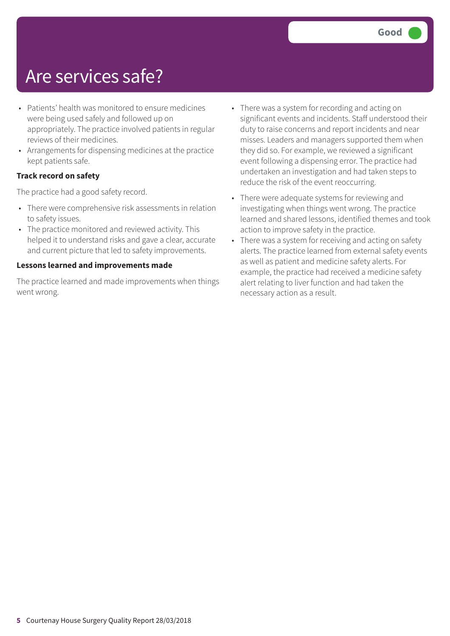### Are services safe?

- Patients' health was monitored to ensure medicines were being used safely and followed up on appropriately. The practice involved patients in regular reviews of their medicines.
- Arrangements for dispensing medicines at the practice kept patients safe.

#### **Track record on safety**

The practice had a good safety record.

- There were comprehensive risk assessments in relation to safety issues.
- The practice monitored and reviewed activity. This helped it to understand risks and gave a clear, accurate and current picture that led to safety improvements.

#### **Lessons learned and improvements made**

The practice learned and made improvements when things went wrong.

- There was a system for recording and acting on significant events and incidents. Staff understood their duty to raise concerns and report incidents and near misses. Leaders and managers supported them when they did so. For example, we reviewed a significant event following a dispensing error. The practice had undertaken an investigation and had taken steps to reduce the risk of the event reoccurring.
- There were adequate systems for reviewing and investigating when things went wrong. The practice learned and shared lessons, identified themes and took action to improve safety in the practice.
- There was a system for receiving and acting on safety alerts. The practice learned from external safety events as well as patient and medicine safety alerts. For example, the practice had received a medicine safety alert relating to liver function and had taken the necessary action as a result.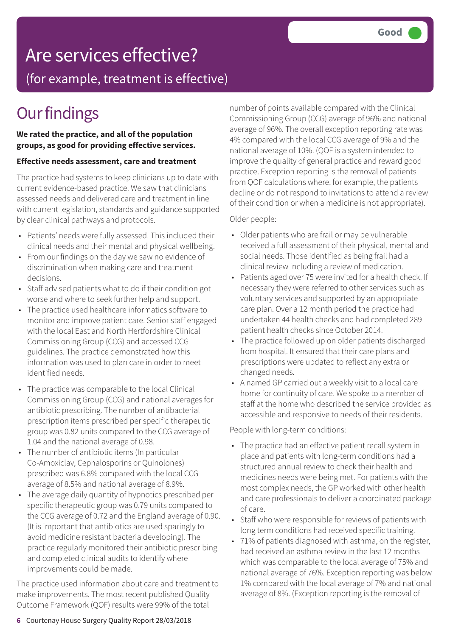## Are services effective?

(for example, treatment is effective)

### **Our findings**

#### **We rated the practice, and all of the population groups, as good for providing effective services.**

#### **Effective needs assessment, care and treatment**

The practice had systems to keep clinicians up to date with current evidence-based practice. We saw that clinicians assessed needs and delivered care and treatment in line with current legislation, standards and guidance supported by clear clinical pathways and protocols.

- Patients' needs were fully assessed. This included their clinical needs and their mental and physical wellbeing.
- From our findings on the day we saw no evidence of discrimination when making care and treatment decisions.
- Staff advised patients what to do if their condition got worse and where to seek further help and support.
- The practice used healthcare informatics software to monitor and improve patient care. Senior staff engaged with the local East and North Hertfordshire Clinical Commissioning Group (CCG) and accessed CCG guidelines. The practice demonstrated how this information was used to plan care in order to meet identified needs.
- The practice was comparable to the local Clinical Commissioning Group (CCG) and national averages for antibiotic prescribing. The number of antibacterial prescription items prescribed per specific therapeutic group was 0.82 units compared to the CCG average of 1.04 and the national average of 0.98.
- The number of antibiotic items (In particular Co-Amoxiclav, Cephalosporins or Quinolones) prescribed was 6.8% compared with the local CCG average of 8.5% and national average of 8.9%.
- The average daily quantity of hypnotics prescribed per specific therapeutic group was 0.79 units compared to the CCG average of 0.72 and the England average of 0.90. (It is important that antibiotics are used sparingly to avoid medicine resistant bacteria developing). The practice regularly monitored their antibiotic prescribing and completed clinical audits to identify where improvements could be made.

The practice used information about care and treatment to make improvements. The most recent published Quality Outcome Framework (QOF) results were 99% of the total

number of points available compared with the Clinical Commissioning Group (CCG) average of 96% and national average of 96%. The overall exception reporting rate was 4% compared with the local CCG average of 9% and the national average of 10%. (QOF is a system intended to improve the quality of general practice and reward good practice. Exception reporting is the removal of patients from QOF calculations where, for example, the patients decline or do not respond to invitations to attend a review of their condition or when a medicine is not appropriate).

#### Older people:

- Older patients who are frail or may be vulnerable received a full assessment of their physical, mental and social needs. Those identified as being frail had a clinical review including a review of medication.
- Patients aged over 75 were invited for a health check. If necessary they were referred to other services such as voluntary services and supported by an appropriate care plan. Over a 12 month period the practice had undertaken 44 health checks and had completed 289 patient health checks since October 2014.
- The practice followed up on older patients discharged from hospital. It ensured that their care plans and prescriptions were updated to reflect any extra or changed needs.
- A named GP carried out a weekly visit to a local care home for continuity of care. We spoke to a member of staff at the home who described the service provided as accessible and responsive to needs of their residents.

People with long-term conditions:

- The practice had an effective patient recall system in place and patients with long-term conditions had a structured annual review to check their health and medicines needs were being met. For patients with the most complex needs, the GP worked with other health and care professionals to deliver a coordinated package of care.
- Staff who were responsible for reviews of patients with long term conditions had received specific training.
- 71% of patients diagnosed with asthma, on the register, had received an asthma review in the last 12 months which was comparable to the local average of 75% and national average of 76%. Exception reporting was below 1% compared with the local average of 7% and national average of 8%. (Exception reporting is the removal of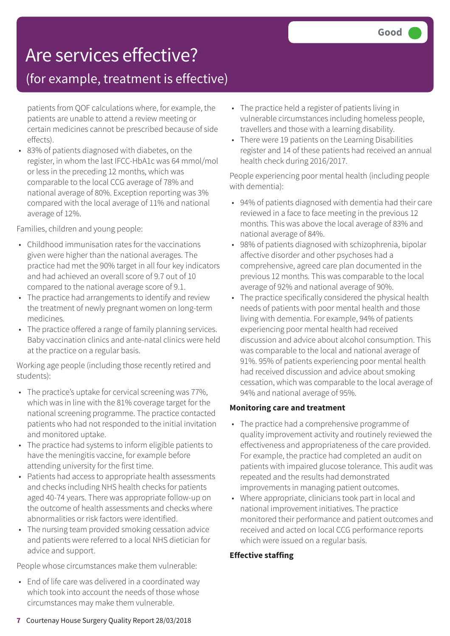### Are services effective?

### (for example, treatment is effective)

patients from QOF calculations where, for example, the patients are unable to attend a review meeting or certain medicines cannot be prescribed because of side effects).

• 83% of patients diagnosed with diabetes, on the register, in whom the last IFCC-HbA1c was 64 mmol/mol or less in the preceding 12 months, which was comparable to the local CCG average of 78% and national average of 80%. Exception reporting was 3% compared with the local average of 11% and national average of 12%.

Families, children and young people:

- Childhood immunisation rates for the vaccinations given were higher than the national averages. The practice had met the 90% target in all four key indicators and had achieved an overall score of 9.7 out of 10 compared to the national average score of 9.1.
- The practice had arrangements to identify and review the treatment of newly pregnant women on long-term medicines.
- The practice offered a range of family planning services. Baby vaccination clinics and ante-natal clinics were held at the practice on a regular basis.

Working age people (including those recently retired and students):

- The practice's uptake for cervical screening was 77%, which was in line with the 81% coverage target for the national screening programme. The practice contacted patients who had not responded to the initial invitation and monitored uptake.
- The practice had systems to inform eligible patients to have the meningitis vaccine, for example before attending university for the first time.
- Patients had access to appropriate health assessments and checks including NHS health checks for patients aged 40-74 years. There was appropriate follow-up on the outcome of health assessments and checks where abnormalities or risk factors were identified.
- The nursing team provided smoking cessation advice and patients were referred to a local NHS dietician for advice and support.

People whose circumstances make them vulnerable:

• End of life care was delivered in a coordinated way which took into account the needs of those whose circumstances may make them vulnerable.

- The practice held a register of patients living in vulnerable circumstances including homeless people, travellers and those with a learning disability.
- There were 19 patients on the Learning Disabilities register and 14 of these patients had received an annual health check during 2016/2017.

People experiencing poor mental health (including people with dementia):

- 94% of patients diagnosed with dementia had their care reviewed in a face to face meeting in the previous 12 months. This was above the local average of 83% and national average of 84%.
- 98% of patients diagnosed with schizophrenia, bipolar affective disorder and other psychoses had a comprehensive, agreed care plan documented in the previous 12 months. This was comparable to the local average of 92% and national average of 90%.
- The practice specifically considered the physical health needs of patients with poor mental health and those living with dementia. For example, 94% of patients experiencing poor mental health had received discussion and advice about alcohol consumption. This was comparable to the local and national average of 91%. 95% of patients experiencing poor mental health had received discussion and advice about smoking cessation, which was comparable to the local average of 94% and national average of 95%.

#### **Monitoring care and treatment**

- The practice had a comprehensive programme of quality improvement activity and routinely reviewed the effectiveness and appropriateness of the care provided. For example, the practice had completed an audit on patients with impaired glucose tolerance. This audit was repeated and the results had demonstrated improvements in managing patient outcomes.
- Where appropriate, clinicians took part in local and national improvement initiatives. The practice monitored their performance and patient outcomes and received and acted on local CCG performance reports which were issued on a regular basis.

#### **Effective staffing**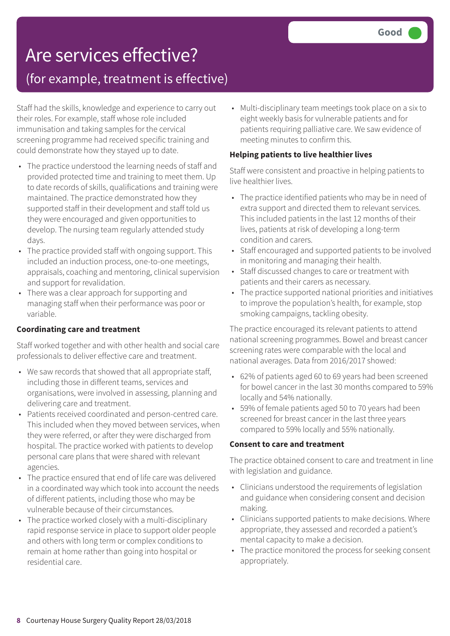### Are services effective? (for example, treatment is effective)

Staff had the skills, knowledge and experience to carry out their roles. For example, staff whose role included immunisation and taking samples for the cervical screening programme had received specific training and could demonstrate how they stayed up to date.

- The practice understood the learning needs of staff and provided protected time and training to meet them. Up to date records of skills, qualifications and training were maintained. The practice demonstrated how they supported staff in their development and staff told us they were encouraged and given opportunities to develop. The nursing team regularly attended study days.
- The practice provided staff with ongoing support. This included an induction process, one-to-one meetings, appraisals, coaching and mentoring, clinical supervision and support for revalidation.
- There was a clear approach for supporting and managing staff when their performance was poor or variable.

### **Coordinating care and treatment**

Staff worked together and with other health and social care professionals to deliver effective care and treatment.

- We saw records that showed that all appropriate staff, including those in different teams, services and organisations, were involved in assessing, planning and delivering care and treatment.
- Patients received coordinated and person-centred care. This included when they moved between services, when they were referred, or after they were discharged from hospital. The practice worked with patients to develop personal care plans that were shared with relevant agencies.
- The practice ensured that end of life care was delivered in a coordinated way which took into account the needs of different patients, including those who may be vulnerable because of their circumstances.
- The practice worked closely with a multi-disciplinary rapid response service in place to support older people and others with long term or complex conditions to remain at home rather than going into hospital or residential care.

• Multi-disciplinary team meetings took place on a six to eight weekly basis for vulnerable patients and for patients requiring palliative care. We saw evidence of meeting minutes to confirm this.

#### **Helping patients to live healthier lives**

Staff were consistent and proactive in helping patients to live healthier lives.

- The practice identified patients who may be in need of extra support and directed them to relevant services. This included patients in the last 12 months of their lives, patients at risk of developing a long-term condition and carers.
- Staff encouraged and supported patients to be involved in monitoring and managing their health.
- Staff discussed changes to care or treatment with patients and their carers as necessary.
- The practice supported national priorities and initiatives to improve the population's health, for example, stop smoking campaigns, tackling obesity.

The practice encouraged its relevant patients to attend national screening programmes. Bowel and breast cancer screening rates were comparable with the local and national averages. Data from 2016/2017 showed:

- 62% of patients aged 60 to 69 years had been screened for bowel cancer in the last 30 months compared to 59% locally and 54% nationally.
- 59% of female patients aged 50 to 70 years had been screened for breast cancer in the last three years compared to 59% locally and 55% nationally.

#### **Consent to care and treatment**

The practice obtained consent to care and treatment in line with legislation and guidance.

- Clinicians understood the requirements of legislation and guidance when considering consent and decision making.
- Clinicians supported patients to make decisions. Where appropriate, they assessed and recorded a patient's mental capacity to make a decision.
- The practice monitored the process for seeking consent appropriately.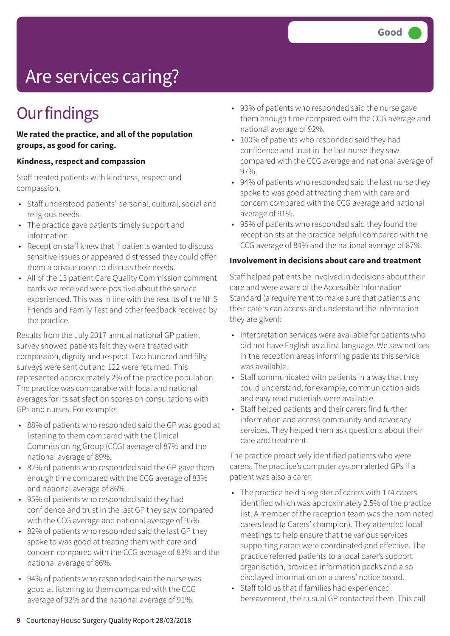# Are services caring?

### **Our findings**

#### **We rated the practice, and all of the population groups, as good for caring.**

#### **Kindness, respect and compassion**

Staff treated patients with kindness, respect and compassion.

- Staff understood patients' personal, cultural, social and religious needs.
- The practice gave patients timely support and information.
- Reception staff knew that if patients wanted to discuss sensitive issues or appeared distressed they could offer them a private room to discuss their needs.
- All of the 13 patient Care Quality Commission comment cards we received were positive about the service experienced. This was in line with the results of the NHS Friends and Family Test and other feedback received by the practice.

Results from the July 2017 annual national GP patient survey showed patients felt they were treated with compassion, dignity and respect. Two hundred and fifty surveys were sent out and 122 were returned. This represented approximately 2% of the practice population. The practice was comparable with local and national averages for its satisfaction scores on consultations with GPs and nurses. For example:

- 88% of patients who responded said the GP was good at listening to them compared with the Clinical Commissioning Group (CCG) average of 87% and the national average of 89%.
- 82% of patients who responded said the GP gave them enough time compared with the CCG average of 83% and national average of 86%.
- 95% of patients who responded said they had confidence and trust in the last GP they saw compared with the CCG average and national average of 95%.
- 82% of patients who responded said the last GP they spoke to was good at treating them with care and concern compared with the CCG average of 83% and the national average of 86%.
- 94% of patients who responded said the nurse was good at listening to them compared with the CCG average of 92% and the national average of 91%.
- 93% of patients who responded said the nurse gave them enough time compared with the CCG average and national average of 92%.
- 100% of patients who responded said they had confidence and trust in the last nurse they saw compared with the CCG average and national average of 97%.
- 94% of patients who responded said the last nurse they spoke to was good at treating them with care and concern compared with the CCG average and national average of 91%.
- 95% of patients who responded said they found the receptionists at the practice helpful compared with the CCG average of 84% and the national average of 87%.

#### **Involvement in decisions about care and treatment**

Staff helped patients be involved in decisions about their care and were aware of the Accessible Information Standard (a requirement to make sure that patients and their carers can access and understand the information they are given):

- Interpretation services were available for patients who did not have English as a first language. We saw notices in the reception areas informing patients this service was available.
- Staff communicated with patients in a way that they could understand, for example, communication aids and easy read materials were available.
- Staff helped patients and their carers find further information and access community and advocacy services. They helped them ask questions about their care and treatment.

The practice proactively identified patients who were carers. The practice's computer system alerted GPs if a patient was also a carer.

- The practice held a register of carers with 174 carers identified which was approximately 2.5% of the practice list. A member of the reception team was the nominated carers lead (a Carers' champion). They attended local meetings to help ensure that the various services supporting carers were coordinated and effective. The practice referred patients to a local carer's support organisation, provided information packs and also displayed information on a carers' notice board.
- Staff told us that if families had experienced bereavement, their usual GP contacted them. This call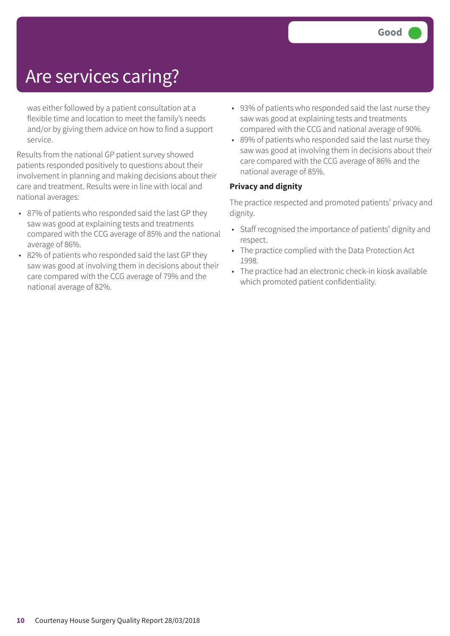### Are services caring?

was either followed by a patient consultation at a flexible time and location to meet the family's needs and/or by giving them advice on how to find a support service.

Results from the national GP patient survey showed patients responded positively to questions about their involvement in planning and making decisions about their care and treatment. Results were in line with local and national averages:

- 87% of patients who responded said the last GP they saw was good at explaining tests and treatments compared with the CCG average of 85% and the national average of 86%.
- 82% of patients who responded said the last GP they saw was good at involving them in decisions about their care compared with the CCG average of 79% and the national average of 82%.
- 93% of patients who responded said the last nurse they saw was good at explaining tests and treatments compared with the CCG and national average of 90%.
- 89% of patients who responded said the last nurse they saw was good at involving them in decisions about their care compared with the CCG average of 86% and the national average of 85%.

#### **Privacy and dignity**

The practice respected and promoted patients' privacy and dignity.

- Staff recognised the importance of patients' dignity and respect.
- The practice complied with the Data Protection Act 1998.
- The practice had an electronic check-in kiosk available which promoted patient confidentiality.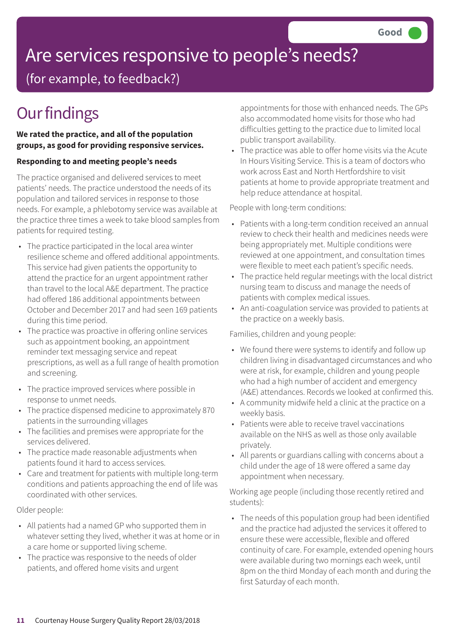# Are services responsive to people's needs?

(for example, to feedback?)

## **Our findings**

### **We rated the practice, and all of the population groups, as good for providing responsive services.**

### **Responding to and meeting people's needs**

The practice organised and delivered services to meet patients' needs. The practice understood the needs of its population and tailored services in response to those needs. For example, a phlebotomy service was available at the practice three times a week to take blood samples from patients for required testing.

- The practice participated in the local area winter resilience scheme and offered additional appointments. This service had given patients the opportunity to attend the practice for an urgent appointment rather than travel to the local A&E department. The practice had offered 186 additional appointments between October and December 2017 and had seen 169 patients during this time period.
- The practice was proactive in offering online services such as appointment booking, an appointment reminder text messaging service and repeat prescriptions, as well as a full range of health promotion and screening.
- The practice improved services where possible in response to unmet needs.
- The practice dispensed medicine to approximately 870 patients in the surrounding villages
- The facilities and premises were appropriate for the services delivered.
- The practice made reasonable adjustments when patients found it hard to access services.
- Care and treatment for patients with multiple long-term conditions and patients approaching the end of life was coordinated with other services.

### Older people:

- All patients had a named GP who supported them in whatever setting they lived, whether it was at home or in a care home or supported living scheme.
- The practice was responsive to the needs of older patients, and offered home visits and urgent

appointments for those with enhanced needs. The GPs also accommodated home visits for those who had difficulties getting to the practice due to limited local public transport availability.

• The practice was able to offer home visits via the Acute In Hours Visiting Service. This is a team of doctors who work across East and North Hertfordshire to visit patients at home to provide appropriate treatment and help reduce attendance at hospital.

People with long-term conditions:

- Patients with a long-term condition received an annual review to check their health and medicines needs were being appropriately met. Multiple conditions were reviewed at one appointment, and consultation times were flexible to meet each patient's specific needs.
- The practice held regular meetings with the local district nursing team to discuss and manage the needs of patients with complex medical issues.
- An anti-coagulation service was provided to patients at the practice on a weekly basis.

Families, children and young people:

- We found there were systems to identify and follow up children living in disadvantaged circumstances and who were at risk, for example, children and young people who had a high number of accident and emergency (A&E) attendances. Records we looked at confirmed this.
- A community midwife held a clinic at the practice on a weekly basis.
- Patients were able to receive travel vaccinations available on the NHS as well as those only available privately.
- All parents or guardians calling with concerns about a child under the age of 18 were offered a same day appointment when necessary.

Working age people (including those recently retired and students):

• The needs of this population group had been identified and the practice had adjusted the services it offered to ensure these were accessible, flexible and offered continuity of care. For example, extended opening hours were available during two mornings each week, until 8pm on the third Monday of each month and during the first Saturday of each month.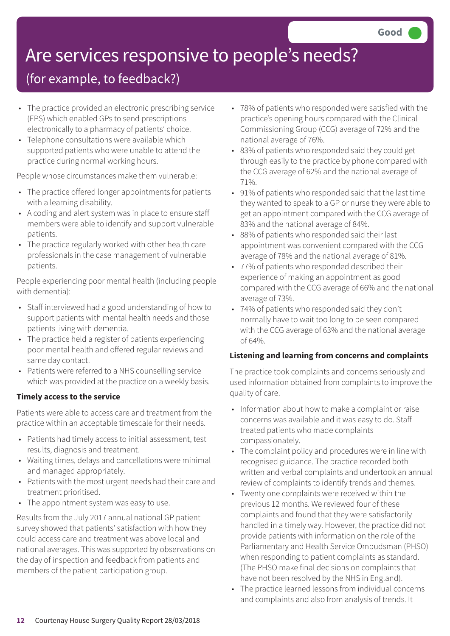# Are services responsive to people's needs?

### (for example, to feedback?)

- The practice provided an electronic prescribing service (EPS) which enabled GPs to send prescriptions electronically to a pharmacy of patients' choice.
- Telephone consultations were available which supported patients who were unable to attend the practice during normal working hours.

People whose circumstances make them vulnerable:

- The practice offered longer appointments for patients with a learning disability.
- A coding and alert system was in place to ensure staff members were able to identify and support vulnerable patients.
- The practice regularly worked with other health care professionals in the case management of vulnerable patients.

People experiencing poor mental health (including people with dementia):

- Staff interviewed had a good understanding of how to support patients with mental health needs and those patients living with dementia.
- The practice held a register of patients experiencing poor mental health and offered regular reviews and same day contact.
- Patients were referred to a NHS counselling service which was provided at the practice on a weekly basis.

### **Timely access to the service**

Patients were able to access care and treatment from the practice within an acceptable timescale for their needs.

- Patients had timely access to initial assessment, test results, diagnosis and treatment.
- Waiting times, delays and cancellations were minimal and managed appropriately.
- Patients with the most urgent needs had their care and treatment prioritised.
- The appointment system was easy to use.

Results from the July 2017 annual national GP patient survey showed that patients' satisfaction with how they could access care and treatment was above local and national averages. This was supported by observations on the day of inspection and feedback from patients and members of the patient participation group.

- 78% of patients who responded were satisfied with the practice's opening hours compared with the Clinical Commissioning Group (CCG) average of 72% and the national average of 76%.
- 83% of patients who responded said they could get through easily to the practice by phone compared with the CCG average of 62% and the national average of 71%.
- 91% of patients who responded said that the last time they wanted to speak to a GP or nurse they were able to get an appointment compared with the CCG average of 83% and the national average of 84%.
- 88% of patients who responded said their last appointment was convenient compared with the CCG average of 78% and the national average of 81%.
- 77% of patients who responded described their experience of making an appointment as good compared with the CCG average of 66% and the national average of 73%.
- 74% of patients who responded said they don't normally have to wait too long to be seen compared with the CCG average of 63% and the national average of 64%.

#### **Listening and learning from concerns and complaints**

The practice took complaints and concerns seriously and used information obtained from complaints to improve the quality of care.

- Information about how to make a complaint or raise concerns was available and it was easy to do. Staff treated patients who made complaints compassionately.
- The complaint policy and procedures were in line with recognised guidance. The practice recorded both written and verbal complaints and undertook an annual review of complaints to identify trends and themes.
- Twenty one complaints were received within the previous 12 months. We reviewed four of these complaints and found that they were satisfactorily handled in a timely way. However, the practice did not provide patients with information on the role of the Parliamentary and Health Service Ombudsman (PHSO) when responding to patient complaints as standard. (The PHSO make final decisions on complaints that have not been resolved by the NHS in England).
- The practice learned lessons from individual concerns and complaints and also from analysis of trends. It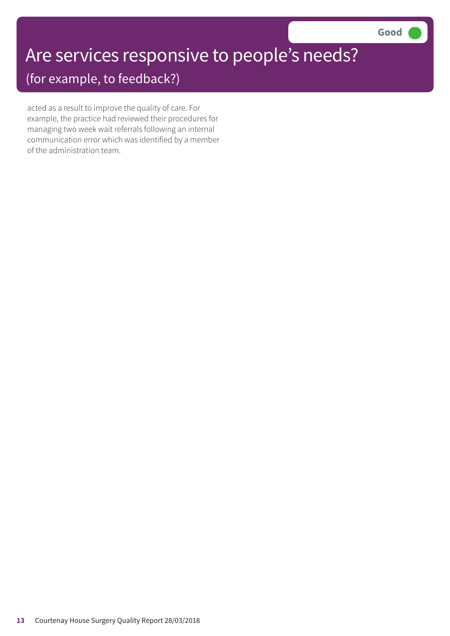# Are services responsive to people's needs?

(for example, to feedback?)

acted as a result to improve the quality of care. For example, the practice had reviewed their procedures for managing two week wait referrals following an internal communication error which was identified by a member of the administration team.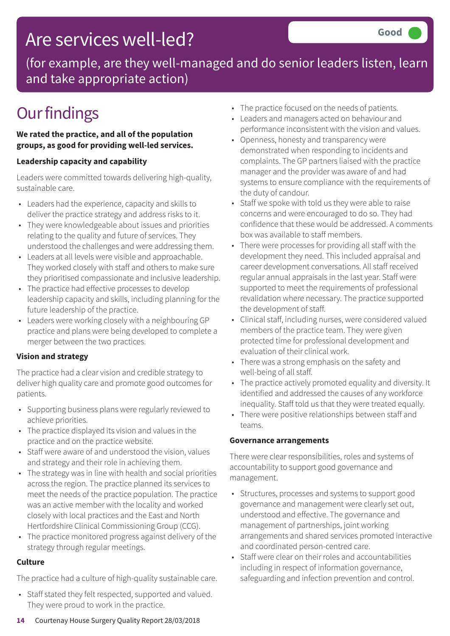### Are services well-led?

(for example, are they well-managed and do senior leaders listen, learn and take appropriate action)

### **Our findings**

**We rated the practice, and all of the population groups, as good for providing well-led services.**

### **Leadership capacity and capability**

Leaders were committed towards delivering high-quality, sustainable care.

- Leaders had the experience, capacity and skills to deliver the practice strategy and address risks to it.
- They were knowledgeable about issues and priorities relating to the quality and future of services. They understood the challenges and were addressing them.
- Leaders at all levels were visible and approachable. They worked closely with staff and others to make sure they prioritised compassionate and inclusive leadership.
- The practice had effective processes to develop leadership capacity and skills, including planning for the future leadership of the practice.
- Leaders were working closely with a neighbouring GP practice and plans were being developed to complete a merger between the two practices.

### **Vision and strategy**

The practice had a clear vision and credible strategy to deliver high quality care and promote good outcomes for patients.

- Supporting business plans were regularly reviewed to achieve priorities.
- The practice displayed its vision and values in the practice and on the practice website.
- Staff were aware of and understood the vision, values and strategy and their role in achieving them.
- The strategy was in line with health and social priorities across the region. The practice planned its services to meet the needs of the practice population. The practice was an active member with the locality and worked closely with local practices and the East and North Hertfordshire Clinical Commissioning Group (CCG).
- The practice monitored progress against delivery of the strategy through regular meetings.

### **Culture**

The practice had a culture of high-quality sustainable care.

• Staff stated they felt respected, supported and valued. They were proud to work in the practice.

- The practice focused on the needs of patients.
- Leaders and managers acted on behaviour and performance inconsistent with the vision and values.
- Openness, honesty and transparency were demonstrated when responding to incidents and complaints. The GP partners liaised with the practice manager and the provider was aware of and had systems to ensure compliance with the requirements of the duty of candour.
- Staff we spoke with told us they were able to raise concerns and were encouraged to do so. They had confidence that these would be addressed. A comments box was available to staff members.
- There were processes for providing all staff with the development they need. This included appraisal and career development conversations. All staff received regular annual appraisals in the last year. Staff were supported to meet the requirements of professional revalidation where necessary. The practice supported the development of staff.
- Clinical staff, including nurses, were considered valued members of the practice team. They were given protected time for professional development and evaluation of their clinical work.
- There was a strong emphasis on the safety and well-being of all staff.
- The practice actively promoted equality and diversity. It identified and addressed the causes of any workforce inequality. Staff told us that they were treated equally.
- There were positive relationships between staff and teams.

### **Governance arrangements**

There were clear responsibilities, roles and systems of accountability to support good governance and management.

- Structures, processes and systems to support good governance and management were clearly set out, understood and effective. The governance and management of partnerships, joint working arrangements and shared services promoted interactive and coordinated person-centred care.
- Staff were clear on their roles and accountabilities including in respect of information governance, safeguarding and infection prevention and control.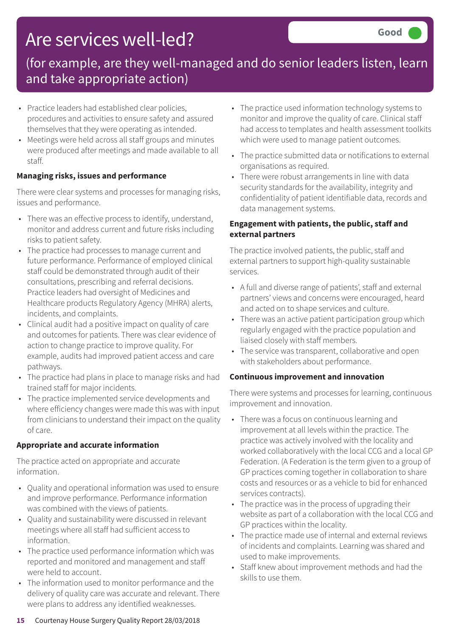## Are services well-led?

### (for example, are they well-managed and do senior leaders listen, learn and take appropriate action)

- Practice leaders had established clear policies, procedures and activities to ensure safety and assured themselves that they were operating as intended.
- Meetings were held across all staff groups and minutes were produced after meetings and made available to all staff.

### **Managing risks, issues and performance**

There were clear systems and processes for managing risks, issues and performance.

- There was an effective process to identify, understand, monitor and address current and future risks including risks to patient safety.
- The practice had processes to manage current and future performance. Performance of employed clinical staff could be demonstrated through audit of their consultations, prescribing and referral decisions. Practice leaders had oversight of Medicines and Healthcare products Regulatory Agency (MHRA) alerts, incidents, and complaints.
- Clinical audit had a positive impact on quality of care and outcomes for patients. There was clear evidence of action to change practice to improve quality. For example, audits had improved patient access and care pathways.
- The practice had plans in place to manage risks and had trained staff for major incidents.
- The practice implemented service developments and where efficiency changes were made this was with input from clinicians to understand their impact on the quality of care.

### **Appropriate and accurate information**

The practice acted on appropriate and accurate information.

- Quality and operational information was used to ensure and improve performance. Performance information was combined with the views of patients.
- Quality and sustainability were discussed in relevant meetings where all staff had sufficient access to information.
- The practice used performance information which was reported and monitored and management and staff were held to account.
- The information used to monitor performance and the delivery of quality care was accurate and relevant. There were plans to address any identified weaknesses.
- The practice used information technology systems to monitor and improve the quality of care. Clinical staff had access to templates and health assessment toolkits which were used to manage patient outcomes.
- The practice submitted data or notifications to external organisations as required.
- There were robust arrangements in line with data security standards for the availability, integrity and confidentiality of patient identifiable data, records and data management systems.

### **Engagement with patients, the public, staff and external partners**

The practice involved patients, the public, staff and external partners to support high-quality sustainable services.

- A full and diverse range of patients', staff and external partners' views and concerns were encouraged, heard and acted on to shape services and culture.
- There was an active patient participation group which regularly engaged with the practice population and liaised closely with staff members.
- The service was transparent, collaborative and open with stakeholders about performance.

### **Continuous improvement and innovation**

There were systems and processes for learning, continuous improvement and innovation.

- There was a focus on continuous learning and improvement at all levels within the practice. The practice was actively involved with the locality and worked collaboratively with the local CCG and a local GP Federation. (A Federation is the term given to a group of GP practices coming together in collaboration to share costs and resources or as a vehicle to bid for enhanced services contracts).
- The practice was in the process of upgrading their website as part of a collaboration with the local CCG and GP practices within the locality.
- The practice made use of internal and external reviews of incidents and complaints. Learning was shared and used to make improvements.
- Staff knew about improvement methods and had the skills to use them.